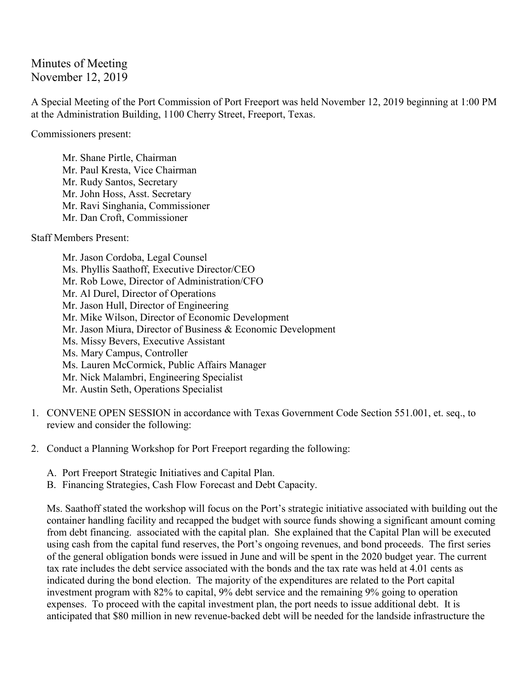Minutes of Meeting November 12, 2019

A Special Meeting of the Port Commission of Port Freeport was held November 12, 2019 beginning at 1:00 PM at the Administration Building, 1100 Cherry Street, Freeport, Texas.

Commissioners present:

Mr. Shane Pirtle, Chairman Mr. Paul Kresta, Vice Chairman Mr. Rudy Santos, Secretary Mr. John Hoss, Asst. Secretary Mr. Ravi Singhania, Commissioner Mr. Dan Croft, Commissioner

Staff Members Present:

Mr. Jason Cordoba, Legal Counsel Ms. Phyllis Saathoff, Executive Director/CEO Mr. Rob Lowe, Director of Administration/CFO Mr. Al Durel, Director of Operations Mr. Jason Hull, Director of Engineering Mr. Mike Wilson, Director of Economic Development Mr. Jason Miura, Director of Business & Economic Development Ms. Missy Bevers, Executive Assistant Ms. Mary Campus, Controller Ms. Lauren McCormick, Public Affairs Manager Mr. Nick Malambri, Engineering Specialist Mr. Austin Seth, Operations Specialist

- 1. CONVENE OPEN SESSION in accordance with Texas Government Code Section 551.001, et. seq., to review and consider the following:
- 2. Conduct a Planning Workshop for Port Freeport regarding the following:
	- A. Port Freeport Strategic Initiatives and Capital Plan.
	- B. Financing Strategies, Cash Flow Forecast and Debt Capacity.

Ms. Saathoff stated the workshop will focus on the Port's strategic initiative associated with building out the container handling facility and recapped the budget with source funds showing a significant amount coming from debt financing. associated with the capital plan. She explained that the Capital Plan will be executed using cash from the capital fund reserves, the Port's ongoing revenues, and bond proceeds. The first series of the general obligation bonds were issued in June and will be spent in the 2020 budget year. The current tax rate includes the debt service associated with the bonds and the tax rate was held at 4.01 cents as indicated during the bond election. The majority of the expenditures are related to the Port capital investment program with 82% to capital, 9% debt service and the remaining 9% going to operation expenses. To proceed with the capital investment plan, the port needs to issue additional debt. It is anticipated that \$80 million in new revenue-backed debt will be needed for the landside infrastructure the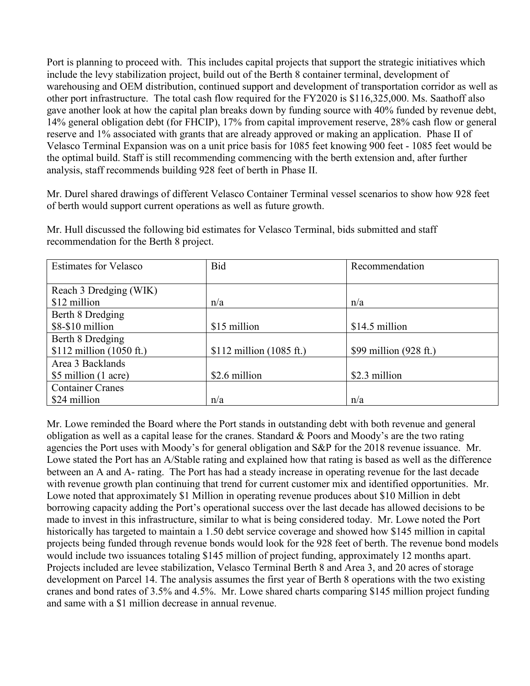Port is planning to proceed with. This includes capital projects that support the strategic initiatives which include the levy stabilization project, build out of the Berth 8 container terminal, development of warehousing and OEM distribution, continued support and development of transportation corridor as well as other port infrastructure. The total cash flow required for the FY2020 is \$116,325,000. Ms. Saathoff also gave another look at how the capital plan breaks down by funding source with 40% funded by revenue debt, 14% general obligation debt (for FHCIP), 17% from capital improvement reserve, 28% cash flow or general reserve and 1% associated with grants that are already approved or making an application. Phase II of Velasco Terminal Expansion was on a unit price basis for 1085 feet knowing 900 feet - 1085 feet would be the optimal build. Staff is still recommending commencing with the berth extension and, after further analysis, staff recommends building 928 feet of berth in Phase II.

Mr. Durel shared drawings of different Velasco Container Terminal vessel scenarios to show how 928 feet of berth would support current operations as well as future growth.

| <b>Estimates for Velasco</b> | <b>Bid</b>                | Recommendation                   |
|------------------------------|---------------------------|----------------------------------|
|                              |                           |                                  |
| Reach 3 Dredging (WIK)       |                           |                                  |
| \$12 million                 | n/a                       | n/a                              |
| Berth 8 Dredging             |                           |                                  |
| $$8-$10$ million             | \$15 million              | \$14.5 million                   |
| Berth 8 Dredging             |                           |                                  |
| $$112$ million (1050 ft.)    | $$112$ million (1085 ft.) | \$99 million $(928 \text{ ft.})$ |
| Area 3 Backlands             |                           |                                  |
| \$5 million (1 acre)         | \$2.6 million             | \$2.3 million                    |
| <b>Container Cranes</b>      |                           |                                  |
| \$24 million                 | n/a                       | n/a                              |

Mr. Hull discussed the following bid estimates for Velasco Terminal, bids submitted and staff recommendation for the Berth 8 project.

Mr. Lowe reminded the Board where the Port stands in outstanding debt with both revenue and general obligation as well as a capital lease for the cranes. Standard & Poors and Moody's are the two rating agencies the Port uses with Moody's for general obligation and S&P for the 2018 revenue issuance. Mr. Lowe stated the Port has an A/Stable rating and explained how that rating is based as well as the difference between an A and A- rating. The Port has had a steady increase in operating revenue for the last decade with revenue growth plan continuing that trend for current customer mix and identified opportunities. Mr. Lowe noted that approximately \$1 Million in operating revenue produces about \$10 Million in debt borrowing capacity adding the Port's operational success over the last decade has allowed decisions to be made to invest in this infrastructure, similar to what is being considered today. Mr. Lowe noted the Port historically has targeted to maintain a 1.50 debt service coverage and showed how \$145 million in capital projects being funded through revenue bonds would look for the 928 feet of berth. The revenue bond models would include two issuances totaling \$145 million of project funding, approximately 12 months apart. Projects included are levee stabilization, Velasco Terminal Berth 8 and Area 3, and 20 acres of storage development on Parcel 14. The analysis assumes the first year of Berth 8 operations with the two existing cranes and bond rates of 3.5% and 4.5%. Mr. Lowe shared charts comparing \$145 million project funding and same with a \$1 million decrease in annual revenue.